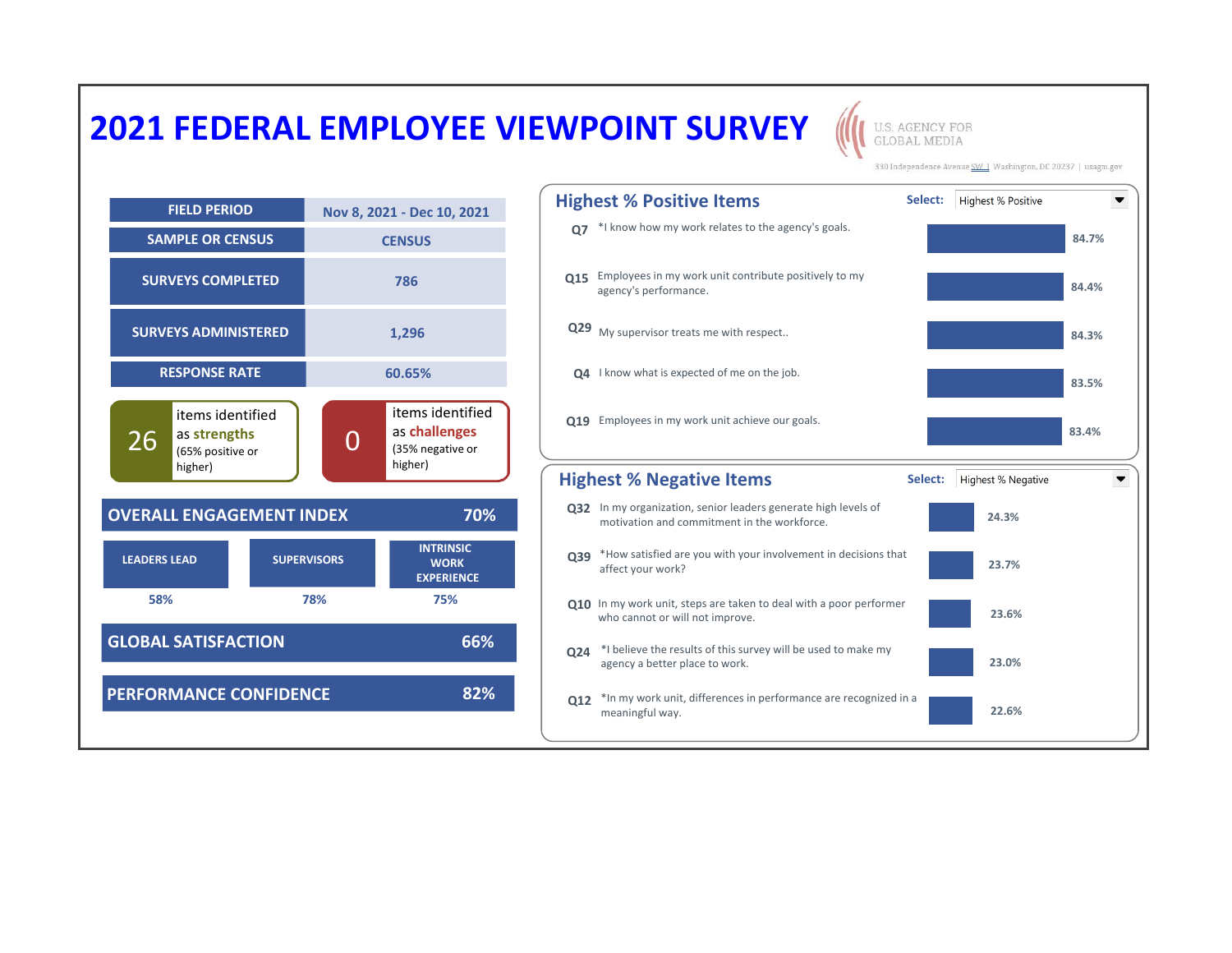## **2021 FEDERAL EMPLOYEE VIEWPOINT SURVEY**

**U.S. AGENCY FOR GLOBAL MEDIA** 

330 Independence Avenue SW | Washington, DC 20237 | usagm.gov



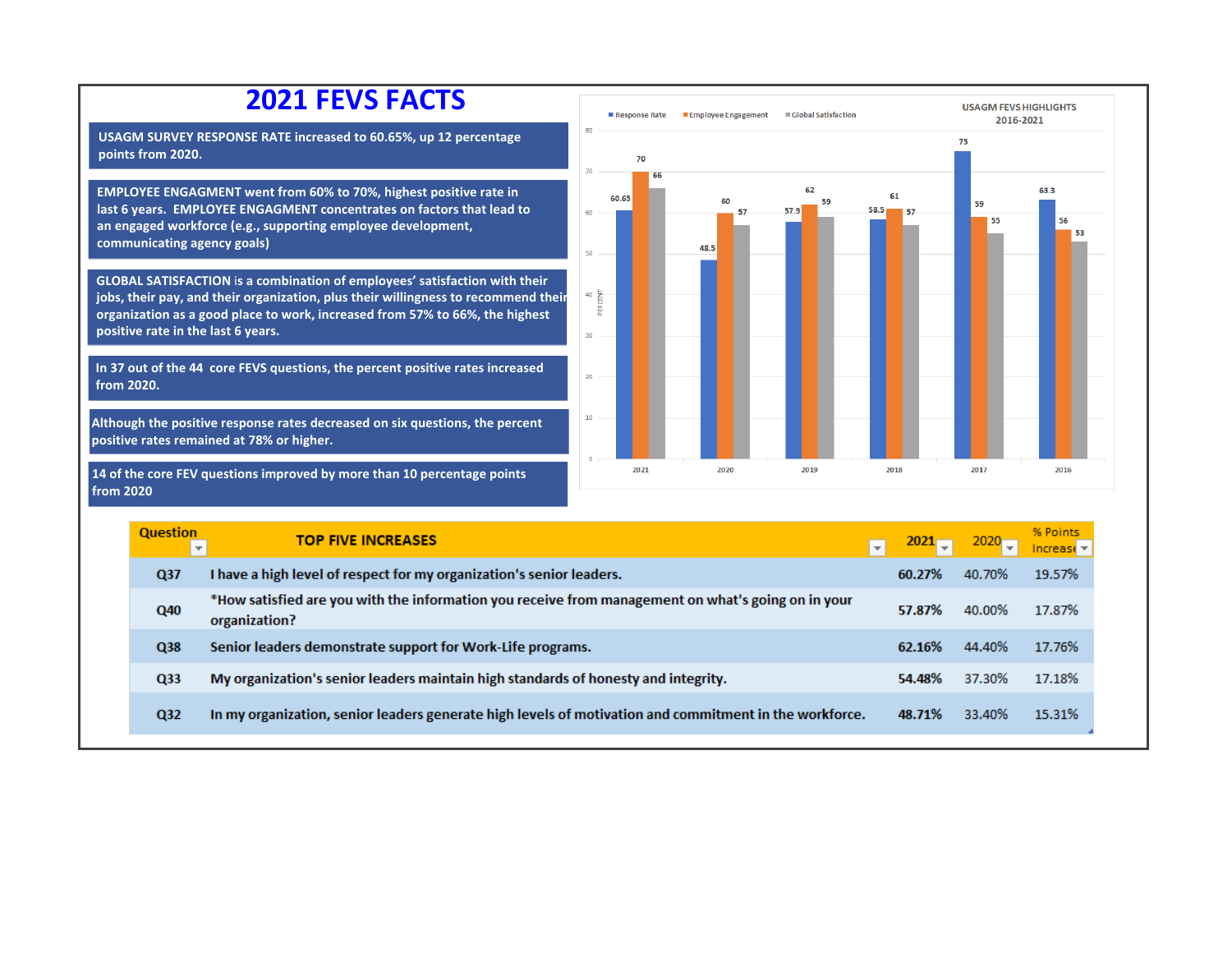

organization?

Senior leaders demonstrate support for Work-Life programs.

My organization's senior leaders maintain high standards of honesty and integrity.

In my organization, senior leaders generate high levels of motivation and commitment in the workforce.

Q38

Q33

 $Q<sub>32</sub>$ 

2016-2021

59

ss.

63.3

53

2016

% Points

19.57%

17.87%

17.76%

17.18%

15.31%

62.16%

54.48%

48.71%

44.40%

37.30%

33.40%

Increase  $\overline{z}$